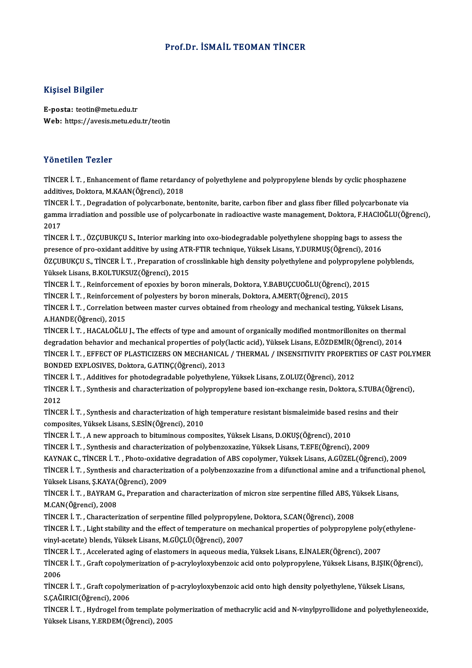# Prof.Dr. İSMAİL TEOMAN TİNCER

### Kişisel Bilgiler

E-posta: teotin@metu.edu.tr Web: https://avesis.metu.edu.tr/teotin

## Yönetilen Tezler

Yönetilen Tezler<br>TİNCER İ. T. , Enhancement of flame retardancy of polyethylene and polypropylene blends by cyclic phosphazene<br>additives Dektera MKAAN(Öğrensi), 2019 1 Oncencir 1 Oncenci<br>TİNCER İ. T. , Enhancement of flame retardaı<br>additives, Doktora, M.KAAN(Öğrenci), 2018<br>TİNCER İ. T. Dosradation of nolucarbonata TİNCER İ. T. , Enhancement of flame retardancy of polyethylene and polypropylene blends by cyclic phosphazene<br>additives, Doktora, M.KAAN(Öğrenci), 2018<br>TİNCER İ. T. , Degradation of polycarbonate, bentonite, barite, carbon

additives, Doktora, M.KAAN(Öğrenci), 2018<br>TİNCER İ. T. , Degradation of polycarbonate, bentonite, barite, carbon fiber and glass fiber filled polycarbonate via<br>gamma irradiation and possible use of polycarbonate in radioac TINCE<br>gamm<br>2017<br>Tince gamma irradiation and possible use of polycarbonate in radioactive waste management, Doktora, F.HACIOĞLU(Öğrenci),<br>2017<br>TİNCER İ. T. , ÖZÇUBUKÇU S., Interior marking into oxo-biodegradable polyethylene shopping bags to ass

TINCER I. T., ÖZÇUBUKÇU S., Interior marking into oxo-biodegradable polyethylene shopping bags to assess the TİNCER İ. T. , ÖZÇUBUKÇU S., Interior marking into oxo-biodegradable polyethylene shopping bags to assess the<br>presence of pro-oxidant additive by using ATR-FTIR technique, Yüksek Lisans, Y.DURMUŞ(Öğrenci), 2016<br>ÖZÇUBUKÇU S Yüksek Lisans, B.KOLTUKSUZ(Öğrenci), 2015 ÖZÇUBUKÇU S., TİNCER İ. T. , Preparation of crosslinkable high density polyethylene and polypropylen<br>Yüksek Lisans, B.KOLTUKSUZ(Öğrenci), 2015<br>TİNCER İ. T. , Reinforcement of epoxies by boron minerals, Doktora, Y.BABUÇCUOĞ

TİNCER İ. T. , Reinforcement of epoxies by boron minerals, Doktora, Y.BABUÇCUOĞLU(Öğrenci), 2015<br>TİNCER İ. T. , Reinforcement of polyesters by boron minerals, Doktora, A.MERT(Öğrenci), 2015

TİNCER İ. T. , Reinforcement of epoxies by boron minerals, Doktora, Y.BABUÇCUOĞLU(Öğrenci), 2015<br>TİNCER İ. T. , Reinforcement of polyesters by boron minerals, Doktora, A.MERT(Öğrenci), 2015<br>TİNCER İ. T. , Correlation betwe TINCER I. T. , Reinforceme<br>TINCER I. T. , Correlation b<br>A.HANDE(Öğrenci), 2015<br>TINCER I. T. , HACALOĞLU TİNCER İ. T. , Correlation between master curves obtained from rheology and mechanical testing, Yüksek Lisans,<br>A.HANDE(Öğrenci), 2015<br>TİNCER İ. T. , HACALOĞLU J., The effects of type and amount of organically modified mont

A.HANDE(Öğrenci), 2015<br>TİNCER İ. T. , HACALOĞLU J., The effects of type and amount of organically modified montmorillonites on thermal<br>degradation behavior and mechanical properties of poly(lactic acid), Yüksek Lisans, E.Ö TİNCER İ. T. , HACALOĞLU J., The effects of type and amount of organically modified montmorillonites on thermal<br>degradation behavior and mechanical properties of poly(lactic acid), Yüksek Lisans, E.ÖZDEMİR(Öğrenci), 2014<br>T degradation behavior and mechanical properties of poly<br>TİNCER İ. T. , EFFECT OF PLASTICIZERS ON MECHANICAL<br>BONDED EXPLOSIVES, Doktora, G.ATINÇ(Öğrenci), 2013<br>TİNCER İ. T. . Additives far phatodegradabla polyethylene TİNCER İ. T. , EFFECT OF PLASTICIZERS ON MECHANICAL / THERMAL / INSENSITIVITY PROPERT<br>BONDED EXPLOSIVES, Doktora, G.ATINÇ(Öğrenci), 2013<br>TİNCER İ. T. , Additives for photodegradable polyethylene, Yüksek Lisans, Z.OLUZ(Öğre

BONDED EXPLOSIVES, Doktora, G.ATINÇ(Öğrenci), 2013<br>TİNCER İ. T. , Additives for photodegradable polyethylene, Yüksek Lisans, Z.OLUZ(Öğrenci), 2012<br>TİNCER İ. T. , Synthesis and characterization of polypropylene based ion-ex TINCE<br>TINCE<br>2012<br>TINCE TİNCER İ. T. , Synthesis and characterization of polypropylene based ion-exchange resin, Doktora, S.TUBA(Öğre<br>2012<br>TİNCER İ. T. , Synthesis and characterization of high temperature resistant bismaleimide based resins and t

2012<br>TİNCER İ. T. , Synthesis and characterization of high temperature resistant bismaleimide based r<br>composites, Yüksek Lisans, S.ESİN(Öğrenci), 2010<br>TİNCER İ. T. , A new approach to bituminous composites, Yüksek Lisans, TİNCER İ. T., Synthesis and characterization of high temperature resistant bismaleimide based resins and their

TİNCERİ.T. ,Synthesis and characterizationofpolybenzoxazine,YüksekLisans,T.EFE(Öğrenci),2009

TİNCER İ. T. , A new approach to bituminous composites, Yüksek Lisans, D.OKUŞ(Öğrenci), 2010<br>TİNCER İ. T. , Synthesis and characterization of polybenzoxazine, Yüksek Lisans, T.EFE(Öğrenci), 2009<br>KAYNAK C., TİNCER İ. T. , P

TİNCER İ. T. , Synthesis and characterization of a polybenzoxazine from a difunctional amine and a trifunctional phenol,<br>Yüksek Lisans, Ş.KAYA(Öğrenci), 2009 KAYNAK C., TİNCER İ. T. , Photo-oxidati<br>TİNCER İ. T. , Synthesis and characteriz<br>Yüksek Lisans, Ş.KAYA(Öğrenci), 2009<br>TİNCER İ. T., PAYRAM C. Proporation s TİNCER İ. T. , Synthesis and characterization of a polybenzoxazine from a difunctional amine and a trifunctional<br>Yüksek Lisans, Ş.KAYA(Öğrenci), 2009<br>TİNCER İ. T. , BAYRAM G., Preparation and characterization of micron siz

Yüksek Lisans, Ş.KAYA<br>TİNCER İ. T. , BAYRAM (<br>M.CAN(Öğrenci), 2008<br>TİNCER İ. T. , Charastar TİNCER İ. T. , BAYRAM G., Preparation and characterization of micron size serpentine filled ABS, Y<br>M.CAN(Öğrenci), 2008<br>TİNCER İ. T. , Characterization of serpentine filled polypropylene, Doktora, S.CAN(Öğrenci), 2008<br>TİNC

M.CAN(Öğrenci), 2008<br>TİNCER İ. T. , Characterization of serpentine filled polypropylene, Doktora, S.CAN(Öğrenci), 2008<br>TİNCER İ. T. , Light stability and the effect of temperature on mechanical properties of polypropylene TİNCER İ. T. , Characterization of serpentine filled polypropylene, Doktora, S.CAN(Öğrenci), 2008<br>TİNCER İ. T. , Light stability and the effect of temperature on mechanical properties of polypropyl<br>vinyl-acetate) blends, Y TİNCER İ. T. , Light stability and the effect of temperature on mechanical properties of polypropylene poly<br>vinyl-acetate) blends, Yüksek Lisans, M.GÜÇLÜ(Öğrenci), 2007<br>TİNCER İ. T. , Accelerated aging of elastomers in aqu

vinyl-acetate) blends, Yüksek Lisans, M.GÜÇLÜ(Öğrenci), 2007<br>TİNCER İ. T. , Accelerated aging of elastomers in aqueous media, Yüksek Lisans, E.İNALER(Öğrenci), 2007<br>TİNCER İ. T. , Graft copolymerization of p-acryloyloxyben TİNCER İ. T. , Accelerated aging of elastomers in aqueous media, Yüksek Lisans, E.İNALER(Öğrenci), 2007<br>TİNCER İ. T. , Graft copolymerization of p-acryloyloxybenzoic acid onto polypropylene, Yüksek Lisans, B.I.<br>2006 TİNCER İ. T. , Graft copolymerization of p-acryloyloxybenzoic acid onto polypropylene, Yüksek Lisans, B.IŞIK(Öğr<br>2006<br>TİNCER İ. T. , Graft copolymerization of p-acryloyloxybenzoic acid onto high density polyethylene, Yükse

TİNCER İ. T. , Graft copolymerization of p-acryloyloxybenzoic acid onto high density polyethylene, Yüksek Lisans,<br>S.ÇAĞIRICI(Öğrenci), 2006 TİNCER İ. T. , Graft copolymerization of p-acryloyloxybenzoic acid onto high density polyethylene, Yüksek Lisans,<br>S.ÇAĞIRICI(Öğrenci), 2006<br>TİNCER İ. T. , Hydrogel from template polymerization of methacrylic acid and N-vin

S.ÇAĞIRICI(Öğrenci), 2006<br>TİNCER İ. T. , Hydrogel from template po<br>Yüksek Lisans, Y.ERDEM(Öğrenci), 2005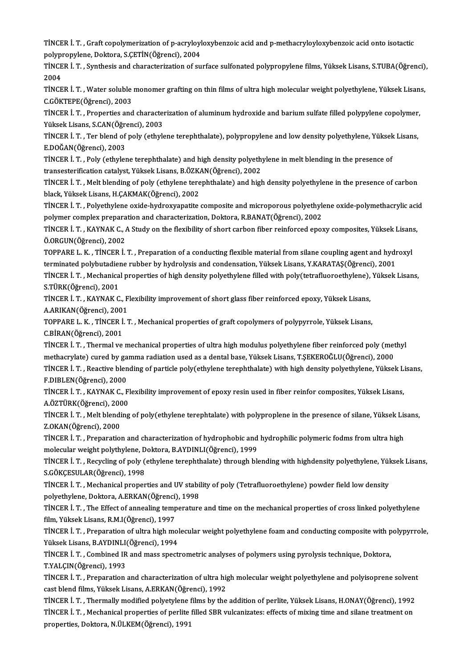TİNCER İ. T. , Graft copolymerization of p-acryloyloxybenzoic acid and p-methacryloyloxybenzoic acid onto isotactic<br>Rekynnenvlane, Rektore, S.CETİN(Öğrengi), 2004 TİNCER İ. T. , Graft copolymerization of p-acryloyl<br>polypropylene, Doktora, S.ÇETİN(Öğrenci), 2004<br>TİNCER İ. T., Synthesis and shanasterisation of su TİNCER İ. T. , Graft copolymerization of p-acryloyloxybenzoic acid and p-methacryloyloxybenzoic acid onto isotactic<br>polypropylene, Doktora, S.ÇETİN(Öğrenci), 2004<br>TİNCER İ. T. , Synthesis and characterization of surface su

10<br>2004<br>2004<br>Tince TİNCER İ. T. , Synthesis and characterization of surface sulfonated polypropylene films, Yüksek Lisans, S.TUBA(Öğrenci)<br>2004<br>TİNCER İ. T. , Water soluble monomer grafting on thin films of ultra high molecular weight polyet

2004<br>TİNCER İ. T. , Water soluble monomer grafting on thin films of ultra high molecular weight polyethylene, Yüksek Lisans,<br>C.GÖKTEPE(Öğrenci), 2003 TİNCER İ. T. , Water soluble monomer grafting on thin films of ultra high molecular weight polyethylene, Yüksek Lisan<br>C.GÖKTEPE(Öğrenci), 2003<br>TİNCER İ. T. , Properties and characterization of aluminum hydroxide and barium

C.GÖKTEPE(Öğrenci), 2003<br>TİNCER İ. T. , Properties and characte<br>Yüksek Lisans, S.CAN(Öğrenci), 2003<br>TİNCER İ. T., Ter bland of nalv (etbyle TİNCER İ. T. , Properties and characterization of aluminum hydroxide and barium sulfate filled polypylene copolymer<br>Yüksek Lisans, S.CAN(Öğrenci), 2003<br>TİNCER İ. T. , Ter blend of poly (ethylene terephthalate), polypropyle

Yüksek Lisans, S.CAN(Öğre<br>TİNCER İ. T. , Ter blend of<br>E.DOĞAN(Öğrenci), 2003<br>TİNCEP İ. T., Poly (otbuler TİNCER İ. T. , Ter blend of poly (ethylene terephthalate), polypropylene and low density polyethylene, Yüksek<br>E.DOĞAN(Öğrenci), 2003<br>TİNCER İ. T. , Poly (ethylene terephthalate) and high density polyethylene in melt blendi

E.DOĞAN(Öğrenci), 2003<br>TİNCER İ. T. , Poly (ethylene terephthalate) and high density polyeth<br>transesterification catalyst, Yüksek Lisans, B.ÖZKAN(Öğrenci), 2002<br>TİNCER İ. T., Melt blanding ef poly (ethylene terephthalate) TİNCER İ. T. , Poly (ethylene terephthalate) and high density polyethylene in melt blending in the presence of<br>transesterification catalyst, Yüksek Lisans, B.ÖZKAN(Öğrenci), 2002<br>TİNCER İ. T. , Melt blending of poly (ethyl

transesterification catalyst, Yüksek Lisans, B.ÖZKAN(Öğrenci), 2002<br>TİNCER İ. T. , Melt blending of poly (ethylene terephthalate) and high density polyethylene in the presence of carbon<br>black, Yüksek Lisans, H.ÇAKMAK(Öğren TİNCER İ. T. , Melt blending of poly (ethylene terephthalate) and high density polyethylene in the presence of carbon<br>black, Yüksek Lisans, H.ÇAKMAK(Öğrenci), 2002<br>TİNCER İ. T. , Polyethylene oxide-hydroxyapatite composite

black, Yüksek Lisans, H.ÇAKMAK(Öğrenci), 2002<br>TİNCER İ. T. , Polyethylene oxide-hydroxyapatite composite and microporous polyethyle<br>polymer complex preparation and characterization, Doktora, R.BANAT(Öğrenci), 2002<br>TİNCER İ TİNCER İ. T. , Polyethylene oxide-hydroxyapatite composite and microporous polyethylene oxide-polymethacrylic aci<br>polymer complex preparation and characterization, Doktora, R.BANAT(Öğrenci), 2002<br>TİNCER İ. T. , KAYNAK C.,

polymer complex preparation and characterization, Doktora, R.BANAT(Öğrenci), 2002<br>TİNCER İ. T. , KAYNAK C., A Study on the flexibility of short carbon fiber reinforced epo<br>Ö.ORGUN(Öğrenci), 2002 TINCER İ. T. , KAYNAK C., A Study on the flexibility of short carbon fiber reinforced epoxy composites, Yüksek Lisans, Ö.ORGUN(Öğrenci), 2002<br>TOPPARE L. K. , TİNCER İ. T. , Preparation of a conducting flexible material fro

TOPPARE L. K., TINCER I. T., Preparation of a conducting flexible material from silane coupling agent and hydroxyl TOPPARE L. K. , TİNCER İ. T. , Preparation of a conducting flexible material from silane coupling agent and hydroxyl<br>terminated polybutadiene rubber by hydrolysis and condensation, Yüksek Lisans, Y.KARATAŞ(Öğrenci), 2001<br>T

terminated polybutadie<mark>r</mark><br>TİNCER İ. T. , Mechanica<br>S.TÜRK(Öğrenci), 2001<br>TİNCEP İ. T. , KAYNAK C TİNCER İ. T. , Mechanical properties of high density polyethylene filled with poly(tetrafluoroethylene),<br>S.TÜRK(Öğrenci), 2001<br>TİNCER İ. T. , KAYNAK C., Flexibility improvement of short glass fiber reinforced epoxy, Yüksek

S.TÜRK(Öğrenci), 2001<br>TİNCER İ. T. , KAYNAK C., Flexibility improvement of short glass fiber reinforced epoxy, Yüksek Lisans,<br>A.ARIKAN(Öğrenci), 2001 TİNCER İ. T. , KAYNAK C., Flexibility improvement of short glass fiber reinforced epoxy, Yüksek Lisans,<br>A.ARIKAN(Öğrenci), 2001<br>TOPPARE L. K. , TİNCER İ. T. , Mechanical properties of graft copolymers of polypyrrole, Yükse

A.ARIKAN(Öğrenci), 200<br>TOPPARE L. K. , TİNCER İ.<br>C.BİRAN(Öğrenci), 2001<br>TİNCER İ. T. Thermal ve TOPPARE L. K. , TİNCER İ. T. , Mechanical properties of graft copolymers of polypyrrole, Yüksek Lisans,<br>C.BİRAN(Öğrenci), 2001<br>TİNCER İ. T. , Thermal ve mechanical properties of ultra high modulus polyethylene fiber reinfo

C.BİRAN(Öğrenci), 2001<br>TİNCER İ. T. , Thermal ve mechanical properties of ultra high modulus polyethylene fiber reinforced poly (methyl<br>methacrylate) cured by gamma radiation used as a dental base, Yüksek Lisans, T.ŞEKEROĞ TİNCER İ. T. , Thermal ve mechanical properties of ultra high modulus polyethylene fiber reinforced poly (methyl<br>methacrylate) cured by gamma radiation used as a dental base, Yüksek Lisans, T.ŞEKEROĞLU(Öğrenci), 2000<br>TİNCE

methacrylate) cured by ga<br>TİNCER İ. T. , Reactive blen<br>F.DIBLEN(Öğrenci), 2000<br>TİNCER İ. T. KAYNAK C. E TİNCER İ. T. , Reactive blending of particle poly(ethylene terephthalate) with high density polyethylene, Yüksek L<br>F.DIBLEN(Öğrenci), 2000<br>TİNCER İ. T. , KAYNAK C., Flexibility improvement of epoxy resin used in fiber rein F.DIBLEN(Öğrenci), 2000<br>TİNCER İ. T. , KAYNAK C., Flexibility improvement of epoxy resin used in fiber reinfor composites, Yüksek Lisans,

A.ÖZTÜRK(Öğrenci), 2000

TİNCER İ. T., Melt blending of poly(ethylene terephtalate) with polyproplene in the presence of silane, Yüksek Lisans,<br>Z.OKAN(Öğrenci), 2000 TİNCER İ. T. , Melt blending of poly(ethylene terephtalate) with polyproplene in the presence of silane, Yüksek Lis<br>Z.OKAN(Öğrenci), 2000<br>TİNCER İ. T. , Preparation and characterization of hydrophobic and hydrophilic polym

Z.OKAN(Öğrenci), 2000<br>TİNCER İ. T. , Preparation and characterization of hydrophobic and<br>molecular weight polythylene, Doktora, B.AYDINLI(Öğrenci), 1999<br>TİNCER İ. T., Rosyaling of noly (othylene tenenhtholete) through blı TİNCER İ. T. , Preparation and characterization of hydrophobic and hydrophilic polymeric fodms from ultra high<br>molecular weight polythylene, Doktora, B.AYDINLI(Öğrenci), 1999<br>TİNCER İ. T. , Recycling of poly (ethylene tere

molecular weight polythylene, Doktora, B.AYDINLI(Öğrenci), 1999<br>TİNCER İ. T. , Recycling of poly (ethylene terephthalate) through bl<br>S.GÖKÇESULAR(Öğrenci), 1998 TİNCER İ. T. , Recycling of poly (ethylene terephthalate) through blending with highdensity polyethylene, Yüksek Lisans, S.GÖKÇESULAR(Öğrenci), 1998<br>TİNCER İ. T. , Mechanical properties and UV stability of poly (Tetrafluor

TINCER I. T., Mechanical properties and UV stability of poly (Tetrafluoroethylene) powder field low density TİNCER İ. T. , Mechanical properties and UV stability of poly (Tetrafluoroethylene) powder field low density<br>polyethylene, Doktora, A.ERKAN(Öğrenci), 1998<br>TİNCER İ. T. , The Effect of annealing temperature and time on the

polyethylene, Doktora, A.ERKAN(Öğrenci)<br>TİNCER İ. T. , The Effect of annealing temp<br>film, Yüksek Lisans, R.M.I(Öğrenci), 1997<br>TİNCER İ. T., Prenaration of ultra birb me TİNCER İ. T. , The Effect of annealing temperature and time on the mechanical properties of cross linked polyethylene<br>film, Yüksek Lisans, R.M.I(Öğrenci), 1997<br>TİNCER İ. T. , Preparation of ultra high molecular weight poly

film, Yüksek Lisans, R.M.I(Öğrenci), 1997<br>TİNCER İ. T. , Preparation of ultra high mol<br>Yüksek Lisans, B.AYDINLI(Öğrenci), 1994<br>TİNCER İ. T. Combined IB and mass spect TİNCER İ. T. , Preparation of ultra high molecular weight polyethylene foam and conducting composite with p<br>Yüksek Lisans, B.AYDINLI(Öğrenci), 1994<br>TİNCER İ. T. , Combined IR and mass spectrometric analyses of polymers usi

Yüksek Lisans, B.AYDINLI(Öğrenci), 1994<br>TİNCER İ. T. , Combined IR and mass spectrometric analyses of polymers using pyrolysis technique, Doktora,<br>T.YALÇIN(Öğrenci), 1993 TİNCER İ. T. , Combined IR and mass spectrometric analyses of polymers using pyrolysis technique, Doktora,<br>T.YALÇIN(Öğrenci), 1993<br>TİNCER İ. T. , Preparation and characterization of ultra high molecular weight polyethylene

T.YALÇIN(Öğrenci), 1993<br>TİNCER İ. T. , Preparation and characterization of ultra hig<br>cast blend films, Yüksek Lisans, A.ERKAN(Öğrenci), 1992<br>TİNCER İ. T. , Thermally medified nelyetylene filme bu the TİNCER İ. T. , Preparation and characterization of ultra high molecular weight polyethylene and polyisoprene solvent<br>cast blend films, Yüksek Lisans, A.ERKAN(Öğrenci), 1992<br>TİNCER İ. T. , Thermally modified polyetylene fil

cast blend films, Yüksek Lisans, A.ERKAN(Öğrenci), 1992<br>TİNCER İ. T. , Thermally modified polyetylene films by the addition of perlite, Yüksek Lisans, H.ONAY(Öğrenci), 1992<br>TİNCER İ. T. , Mechanical properties of perlite f properties, Doktora, N.ÜLKEM(Öğrenci), 1991